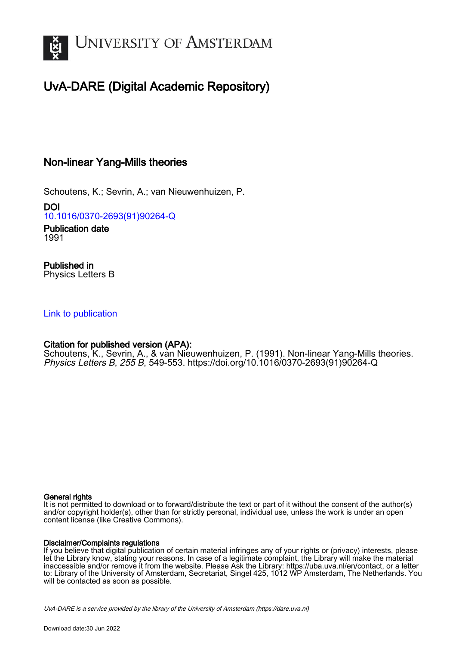

# UvA-DARE (Digital Academic Repository)

## Non-linear Yang-Mills theories

Schoutens, K.; Sevrin, A.; van Nieuwenhuizen, P.

DOI [10.1016/0370-2693\(91\)90264-Q](https://doi.org/10.1016/0370-2693(91)90264-Q)

Publication date 1991

Published in Physics Letters B

### [Link to publication](https://dare.uva.nl/personal/pure/en/publications/nonlinear-yangmills-theories(d3e4f541-80af-478e-be4b-8e20d5368b67).html)

## Citation for published version (APA):

Schoutens, K., Sevrin, A., & van Nieuwenhuizen, P. (1991). Non-linear Yang-Mills theories. Physics Letters B, 255 B, 549-553. [https://doi.org/10.1016/0370-2693\(91\)90264-Q](https://doi.org/10.1016/0370-2693(91)90264-Q)

#### General rights

It is not permitted to download or to forward/distribute the text or part of it without the consent of the author(s) and/or copyright holder(s), other than for strictly personal, individual use, unless the work is under an open content license (like Creative Commons).

#### Disclaimer/Complaints regulations

If you believe that digital publication of certain material infringes any of your rights or (privacy) interests, please let the Library know, stating your reasons. In case of a legitimate complaint, the Library will make the material inaccessible and/or remove it from the website. Please Ask the Library: https://uba.uva.nl/en/contact, or a letter to: Library of the University of Amsterdam, Secretariat, Singel 425, 1012 WP Amsterdam, The Netherlands. You will be contacted as soon as possible.

UvA-DARE is a service provided by the library of the University of Amsterdam (http*s*://dare.uva.nl)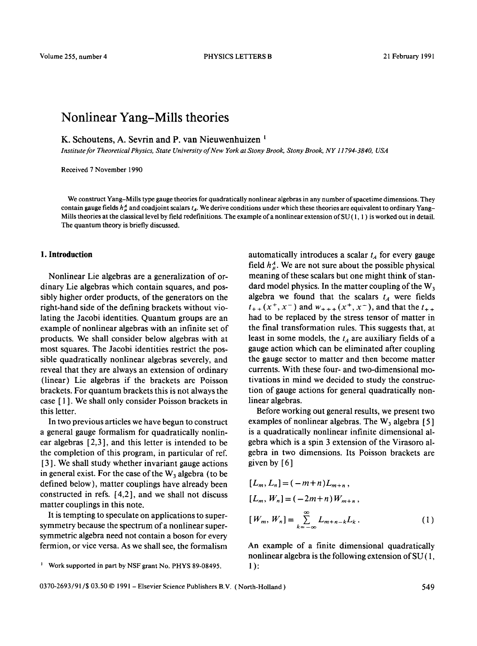## **Nonlinear Yang-Mills theories**

K. Schoutens, A. Sevrin and P. van Nieuwenhuizen<sup>1</sup>

*Institute for Theoretical Physics, State University of New York at Stony Brook, Stony Brook, NY 11794-3840, USA* 

Received 7 November 1990

We construct Yang-Mills type gauge theories for quadratically nonlinear algebras in any number of spacetime dimensions. They contain gauge fields  $h^4_\mu$  and coadjoint scalars  $t_A$ . We derive conditions under which these theories are equivalent to ordinary Yang-Mills theories at the classical level by field redefinitions. The example of a nonlinear extension of  $SU(1, 1)$  is worked out in detail. The quantum theory is briefly discussed.

#### **1. Introduction**

Nonlinear Lie algebras are a generalization of ordinary Lie algebras which contain squares, and possibly higher order products, of the generators on the right-hand side of the defining brackets without violating the Jacobi identities. Quantum groups are an example of nonlinear algebras with an infinite set of products. We shall consider below algebras with at most squares. The Jacobi identities restrict the possible quadratically nonlinear algebras severely, and reveal that they are always an extension of ordinary (linear) Lie algebras if the brackets are Poisson brackets. For quantum brackets this is not always the case [ 1 ]. We shall only consider Poisson brackets in this letter.

In two previous articles we have begun to construct a general gauge formalism for quadratically nonlinear algebras [2,3], and this letter is intended to be the completion of this program, in particular of ref. [ 3 ]. We shall study whether invariant gauge actions in general exist. For the case of the  $W_3$  algebra (to be defined below), matter couplings have already been constructed in refs. [4,2], and we shall not discuss matter couplings in this note.

It is tempting to speculate on applications to supersymmetry because the spectrum of a nonlinear supersymmetric algebra need not contain a boson for every fermion, or vice versa. As we shall see, the formalism automatically introduces a scalar  $t_A$  for every gauge field  $h_{\mu}^{A}$ . We are not sure about the possible physical meaning of these scalars but one might think of standard model physics. In the matter coupling of the  $W_3$ algebra we found that the scalars  $t_A$  were fields  $t_{++}(x^+, x^-)$  and  $w_{+++}(x^+, x^-)$ , and that the  $t_{++}$ had to be replaced by the stress tensor of matter in the final transformation rules. This suggests that, at least in some models, the  $t_A$  are auxiliary fields of a gauge action which can be eliminated after coupling the gauge sector to matter and then become matter currents. With these four- and two-dimensional motivations in mind we decided to study the construction of gauge actions for general quadratically nonlinear algebras.

Before working out general results, we present two examples of nonlinear algebras. The  $W_3$  algebra [5] is a quadratically nonlinear infinite dimensional algebra which is a spin 3 extension of the Virasoro algebra in two dimensions. Its Poisson brackets are given by  $[6]$ 

$$
[L_m, L_n] = (-m+n)L_{m+n},
$$
  
\n
$$
[L_m, W_n] = (-2m+n)W_{m+n},
$$
  
\n
$$
[W_m, W_n] = \sum_{k=-\infty}^{\infty} L_{m+n-k}L_k.
$$
 (1)

An example of a finite dimensional quadratically nonlinear algebra is the following extension of  $SU(1, 1)$ 1):

<sup>&</sup>lt;sup>1</sup> Work supported in part by NSF grant No. PHYS 89-08495.

<sup>0370-2693/91/\$ 03.50 © 1991 -</sup> Elsevier Science Publishers B.V. ( North-Holland ) 549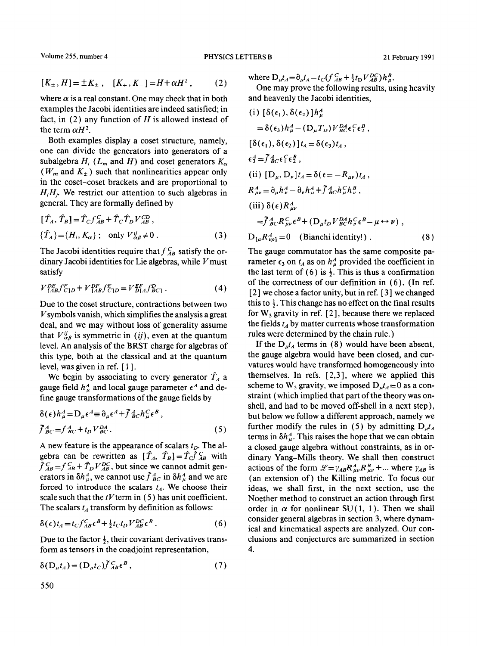Volume 255, number 4 **PHYSICS LETTERS B** 21 February 1991

$$
[K_{\pm}, H] = \pm K_{\pm} , [K_{+}, K_{-}] = H + \alpha H^{2} , \qquad (2)
$$

where  $\alpha$  is a real constant. One may check that in both examples the Jacobi identities are indeed satisfied; in fact, in  $(2)$  any function of H is allowed instead of the term  $\alpha H^2$ .

Both examples display a coset structure, namely, one can divide the generators into generators of a subalgebra  $H_i$  ( $L_m$  and H) and coset generators  $K_{\alpha}$ ( $W_m$  and  $K_{+}$ ) such that nonlinearities appear only in the coset-coset brackets and are proportional to  $H_iH_j$ . We restrict our attention to such algebras in general. They are formally defined by

$$
[\hat{T}_A, \hat{T}_B] = \hat{T}_C f_{AB}^C + \hat{T}_C \hat{T}_D V_{AB}^{CD},
$$
  
\n
$$
\{\hat{T}_A\} = \{H_i, K_\alpha\}; \text{ only } V_{\alpha\beta}^{\mu} \neq 0.
$$
 (3)

The Jacobi identities require that  $f_{AB}^C$  satisfy the ordinary Jacobi identities for Lie algebras, while  $V$  must satisfy

$$
V_{[AB}^{DE}f_{C]D}^{F} + V_{[AB}^{DF}f_{C]D}^{E} = V_{D[A}^{EF}f_{BC]}^{D}.
$$
 (4)

Due to the coset structure, contractions between two  $V$ symbols vanish, which simplifies the analysis a great deal, and we may without loss of generality assume that  $V_{\alpha\beta}^{ij}$  is symmetric in *(ij)*, even at the quantum level. An analysis of the BRST charge for algebras of this type, both at the classical and at the quantum level, was given in ref. [ 1 ].

We begin by associating to every generator  $\hat{T}_A$  a gauge field  $h^A_{\mu}$  and local gauge parameter  $\epsilon^A$  and define gauge transformations of the gauge fields by

$$
\delta(\epsilon)h_{\mu}^{A} = D_{\mu}\epsilon^{A} \equiv \partial_{\mu}\epsilon^{A} + \bar{f}_{BC}^{A}h_{\mu}^{C}\epsilon^{B},
$$
  
\n
$$
\bar{f}_{BC}^{A} = f_{BC}^{A} + t_{D}V_{BC}^{DA}.
$$
\n(5)

A new feature is the appearance of scalars  $t<sub>D</sub>$ . The algebra can be rewritten as  $[\hat{T}_A, \hat{T}_B] = \hat{T}_C \hat{J}_{AB}^C$  with  $\hat{f}_{AB}^C = f_{AB}^C + \hat{T}_D V_{AB}^{DC}$ , but since we cannot admit generators in  $\delta h_u^A$ , we cannot use  $\hat{f}_{BC}^A$  in  $\delta h_u^A$  and we are forced to introduce the scalars  $t_A$ . We choose their scale such that the  $tV$  term in (5) has unit coefficient. The scalars  $t_A$  transform by definition as follows:

$$
\delta(\epsilon)t_A = t_C f_{AB}^C \epsilon^B + \frac{1}{2} t_C t_D V_{AB}^{DC} \epsilon^B. \tag{6}
$$

Due to the factor  $\frac{1}{2}$ , their covariant derivatives transform as tensors in the coadjoint representation,

$$
\delta(D_{\mu}t_A) = (D_{\mu}t_C)f_{AB}^C\epsilon^B, \qquad (7)
$$

where  $D_{\mu}t_{A} = \partial_{\mu}t_{A} - t_{C}\left(\int_{AB}^{C} + \frac{1}{2}t_{D}V_{AB}^{DC}\right)h_{\mu}^{B}$ .

One may prove the following results, using heavily and heavenly the Jacobi identities,

(i) 
$$
[\delta(\epsilon_1), \delta(\epsilon_2)]h^A_\mu
$$
  
\n
$$
= \delta(\epsilon_3)h^A_\mu - (D_\mu T_D)V^D_B \delta \epsilon_1^C \epsilon_2^B,
$$
\n
$$
[\delta(\epsilon_1), \delta(\epsilon_2)]t_A = \delta(\epsilon_3)t_A,
$$
\n
$$
\epsilon_3^A = \tilde{f}^A_{BC}\epsilon_1^C \epsilon_2^B,
$$
\n(ii)  $[D_\mu, D_\nu]t_A = \delta(\epsilon = -R_{\mu\nu})t_A,$ \n
$$
R^A_{\mu\nu} = \partial_\mu h^A_\nu - \partial_\nu h^A_\mu + \tilde{f}^A_{BC}h^C_\mu h^B_\nu,
$$
\n(iii)  $\delta(\epsilon)R^A_{\mu\nu}$   
\n
$$
= \tilde{f}^A_{BC}R^C_{\mu\nu}\epsilon^B + (D_\mu t_D V^D_A h^C_\nu \epsilon^B - \mu \leftrightarrow \nu),
$$
\n
$$
D_{[\mu}R^A_{\nu\rho]} = 0 \quad \text{(Bianchi identity!)}.
$$
\n(8)

The gauge commutator has the same composite parameter  $\epsilon_3$  on  $t_A$  as on  $h^A_\mu$  provided the coefficient in the last term of (6) is  $\frac{1}{2}$ . This is thus a confirmation of the correctness of our definition in (6). (In ref. [2 ] we chose a factor unity, but in ref. [ 3 ] we changed this to  $\frac{1}{2}$ . This change has no effect on the final results for  $W_3$  gravity in ref. [2], because there we replaced the fields  $t_A$  by matter currents whose transformation rules were determined by the chain rule. )

If the  $D_{\mu}t_A$  terms in (8) would have been absent, the gauge algebra would have been closed, and curvatures would have transformed homogeneously into themselves. In refs. [2,3], where we applied this scheme to  $W_3$  gravity, we imposed  $D_{\mu}t_A = 0$  as a constraint (which implied that part of the theory was onshell, and had to be moved off-shell in a next step), but below we follow a different approach, namely we further modify the rules in (5) by admitting  $D_{\mu}t_A$ terms in  $\delta h_u^A$ . This raises the hope that we can obtain a closed gauge algebra without constraints, as in ordinary Yang-Mills theory. We shall then construct actions of the form  $\mathcal{L} = \gamma_{AB} R_{\mu\nu}^A R_{\mu\nu}^B + ...$  where  $\gamma_{AB}$  is (an extension of) the Killing metric. To focus our ideas, we shall first, in the next section, use the Noether method to construct an action through first order in  $\alpha$  for nonlinear SU(1, 1). Then we shall consider general algebras in section 3, where dynamical and kinematical aspects are analyzed. Our conclusions and conjectures are summarized in section 4.

550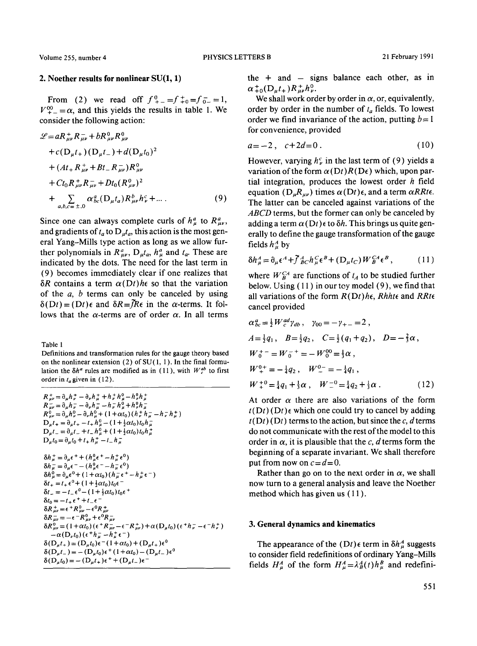#### **2. Noether results for nonlinear SU(1, 1)**

From (2) we read off  $f_{+-}^0=f_{+0}^0=f_{0-}^0=1$ ,  $V^{00}_{+-} = \alpha$ , and this yields the results in table 1. We consider the following action:

$$
\mathcal{L} = aR_{\mu\nu}^+ R_{\mu\nu}^- + bR_{\mu\nu}^0 R_{\mu\nu}^0
$$
  
+  $c(D_{\mu}t_+) (D_{\mu}t_-) + d(D_{\mu}t_0)^2$   
+  $(At_+ R_{\mu\nu}^+ + Bt_- R_{\mu\nu}^-) R_{\mu\nu}^0$   
+  $Ct_0 R_{\mu\nu}^+ R_{\mu\nu}^- + Dt_0 (R_{\mu\nu}^0)^2$   
+  $\sum_{a,b,c=\pm,0} \alpha_{bc}^a (D_{\mu}t_a) R_{\mu\nu}^b h_{\nu}^c + ...$  (9)

Since one can always complete curls of  $h^a_\mu$  to  $R^a_{\mu\nu}$ , and gradients of  $t_a$  to  $D_u t_a$ , this action is the most general Yang-Mills type action as long as we allow further polynomials in  $R_{\mu\nu}^a$ ,  $D_{\mu}t_a$ ,  $h_{\mu}^a$  and  $t_a$ . These are indicated by the dots. The need for the last term in (9) becomes immediately clear if one realizes that  $\delta R$  contains a term  $\alpha(Dt)$ *he* so that the variation of the  $a$ ,  $b$  terms can only be canceled by using  $\delta(Dt) = (Dt)\epsilon$  and  $\delta R = \tilde{f}R\epsilon$  in the  $\alpha$ -terms. It follows that the  $\alpha$ -terms are of order  $\alpha$ . In all terms

Table 1

Definitions and transformation rules for the gauge theory based on the nonlinear extension (2) of  $SU(1, 1)$ . In the final formulation the  $\delta h^a$  rules are modified as in (11), with  $W_c^{ab}$  to first order in  $t_a$  given in (12).

```
R^+_{\mu\nu} = \partial_\mu h^+_\nu - \partial_\nu h^+_\mu + h^+_\nu h^0_\mu - h^0_\nu h^+_\muR^{-}_{\mu\nu} = \partial_{\mu}h^{-}_{\nu} - \partial_{\nu}h^{-}_{\mu} - h^{-}_{\nu}h^{0}_{\mu} + h^{0}_{\nu}h^{-}_{\mu}R^0_{\mu\nu} = \partial_\mu h^0_\nu - \partial_\nu h^0_\mu + (1 + \alpha t_0)(h^+_\nu h^-_\mu - h^-_\nu h^+_\mu)D_{\mu}t_{+} = \partial_{\mu}t_{+} - t_{+}h_{\mu}^{0} - (1 + \frac{1}{2}\alpha t_{0})t_{0}h_{\mu}^{-}D_{\mu} t_{-} = \partial_{\mu} t_{-} + t_{-} h_{\mu}^{0} + (1 + \frac{1}{2} \alpha t_{0}) t_{0} h_{\mu}^{+}D_{\mu}t_0 = \partial_{\mu}t_0 + t_+h_{\mu}^+ - t_-h_{\mu}^-\delta h_{\mu}^{+} = \partial_{\mu} \epsilon^{+} + (h_{\mu}^{0} \epsilon^{+} - h_{\mu}^{+} \epsilon^{0})\delta h^-_\mu = \partial_\mu \epsilon^- - (h^0_\mu \epsilon^- - h^-_\mu \epsilon^0)\delta h_{\mu}^{0} = \partial_{\mu} \epsilon^{0} + (1 + \alpha t_{0}) (h_{\mu}^{-} \epsilon^{+} - h_{\mu}^{+} \epsilon^{-})\delta t_{+} = t_{+} \epsilon^{0} + (1 + \frac{1}{2} \alpha t_{0}) t_{0} \epsilon^{-}\delta t_- = -t_- \epsilon^0 - (1 + \frac{1}{2} \alpha t_0) t_0 \epsilon^+\delta t_0 = -t_+ \epsilon^+ + t_- \epsilon^-\delta R^+_{\mu\nu} = \epsilon^+ R^0_{\mu\nu} - \epsilon^0 R^+_{\mu\nu}\delta R_{\mu\nu} = -\epsilon^- R_{\mu\nu}^0 + \epsilon^0 R_{\mu\nu}^-\delta R_{\mu\nu}^{0} = (1 + \alpha t_0)(\epsilon^+ R_{\mu\nu}^- - \epsilon^- R_{\mu\nu}^+) + \alpha (D_{\mu} t_0)(\epsilon^+ h_{\nu}^- - \epsilon^- h_{\nu}^+)-\alpha(D_\nu t_0) (\epsilon^+ h^-_\mu - h^+_\mu \epsilon^-)\delta(D_{\mu}t_{+}) = (D_{\mu}t_{0})\epsilon^{-}(1 + \alpha t_{0}) + (D_{\mu}t_{+})\epsilon^{0}\delta(D_{\mu}t_{-}) = - (D_{\mu}t_{0})\epsilon^{+} (1 + \alpha t_{0}) - (D_{\mu}t_{-})\epsilon^{0}\delta(D_{\mu} t_0) = - (D_{\mu} t_+) \epsilon^+ + (D_{\mu} t_-) \epsilon^-
```
the  $+$  and  $-$  signs balance each other, as in  $\alpha_{+0}^{+}$ ( $D_{u}t_{+}$ ) $R_{uv}^{+}h_{v}^{0}$ .

We shall work order by order in  $\alpha$ , or, equivalently, order by order in the number of  $t_a$  fields. To lowest order we find invariance of the action, putting  $b=1$ for convenience, provided

$$
a = -2 \,, \quad c + 2d = 0 \,. \tag{10}
$$

However, varying  $h_{\nu}^{c}$  in the last term of (9) yields a variation of the form  $\alpha(Dt)R(D\epsilon)$  which, upon partial integration, produces the lowest order  $h$  field equation  $(D_{\mu}R_{\mu\nu})$  times  $\alpha(Dt)\epsilon$ , and a term  $\alpha RR$ te. The latter can be canceled against variations of the *ABCD* terms, but the former can only be canceled by adding a term  $\alpha$  (Dt)  $\epsilon$  to  $\delta h$ . This brings us quite generally to define the gauge transformation of the gauge fields  $h^A_\mu$  by

$$
\delta h_{\mu}^{A} = \partial_{\mu} \epsilon^{A} + \tilde{f}_{BC}^{A} h_{\mu}^{C} \epsilon^{B} + (D_{\mu} t_{C}) W_{B}^{CA} \epsilon^{B}, \qquad (11)
$$

where  $W_B^{CA}$  are functions of  $t_A$  to be studied further below. Using ( 11 ) in our tey model (9), we find that all variations of the form  $R(Dt)$  he, Rhhte and *RRte* cancel provided

$$
\alpha_{bc}^{a} = \frac{1}{2} W_c^{ad} \gamma_{db} , \quad \gamma_{00} = -\gamma_{+-} = 2 ,
$$
  
\n
$$
A = \frac{1}{2} q_1 , \quad B = \frac{1}{2} q_2 , \quad C = \frac{1}{2} (q_1 + q_2) , \quad D = -\frac{2}{3} \alpha ,
$$
  
\n
$$
W_0^+ = W_0^-^+ = -W_0^{00} = \frac{1}{3} \alpha ,
$$
  
\n
$$
W_+^{0+} = -\frac{1}{4} q_2 , \quad W_-^{0-} = -\frac{1}{4} q_1 ,
$$
  
\n
$$
W_+^{+0} = \frac{1}{4} q_1 + \frac{1}{3} \alpha , \quad W_-^{-0} = \frac{1}{4} q_2 + \frac{1}{3} \alpha .
$$
 (12)

At order  $\alpha$  there are also variations of the form  $t(Dt)$  (Dt)  $\epsilon$  which one could try to cancel by adding  $t(Dt)$  (Dt) terms to the action, but since the c, d terms do not communicate with the rest of the model to this order in  $\alpha$ , it is plausible that the c, d terms form the beginning of a separate invariant. We shall therefore put from now on  $c = d = 0$ .

Rather than go on to the next order in  $\alpha$ , we shall now turn to a general analysis and leave the Noether method which has given us ( 11 ).

#### **3. General dynamics and kinematics**

The appearance of the  $(Dt)$  e term in  $\delta h_u^A$  suggests to consider field redefinitions of ordinary Yang-Mills fields  $H^A_\mu$  of the form  $H^A_\mu = \lambda^A_B(t)h^B_\mu$  and redefini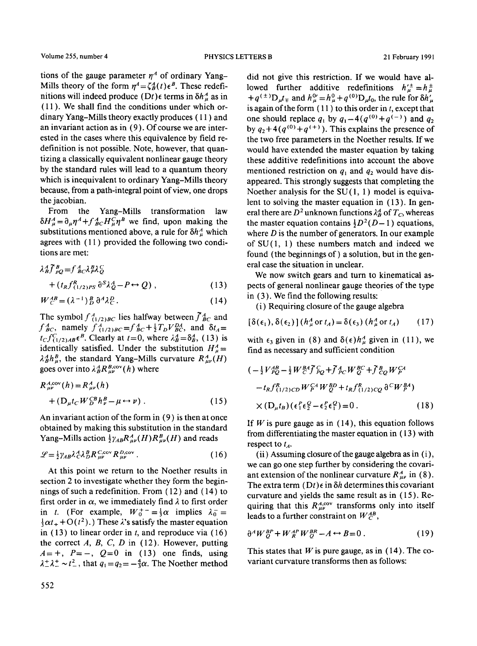tions of the gauge parameter  $n<sup>A</sup>$  of ordinary Yang-Mills theory of the form  $\eta^4 = \zeta_B^A(t) \epsilon^B$ . These redefinitions will indeed produce  $(Dt) \epsilon$  terms in  $\delta h_u^A$  as in ( 11 ). We shall find the conditions under which ordinary Yang-Mills theory exactly produces ( 11 ) and an invariant action as in (9). Of course we are interested in the cases where this equivalence by field redefinition is not possible. Note, however, that quantizing a classically equivalent nonlinear gauge theory by the standard rules will lead to a quantum theory which is inequivalent to ordinary Yang-Mills theory because, from a path-integral point of view, one drops the jacobian.

From the Yang-Mills transformation law  $\delta H_u^A = \partial_u \eta^A + f_{BC}^A H_u^C \eta^B$  we find, upon making the substitutions mentioned above, a rule for  $\delta h_u^A$  which agrees with ( 11 ) provided the following two conditions are met:

$$
\lambda_B^A \tilde{f}_{pQ}^B = f_{BC}^A \lambda_B^B \lambda_Q^C + (t_R f_{(1/2)PS}^R \partial^S \lambda_Q^A - P \leftrightarrow Q) ,
$$
\n(13)

$$
W_C^{AB} = (\lambda^{-1})_D^B \partial^A \lambda_C^D. \tag{14}
$$

The symbol  $f_{(1/2)BC}^A$  lies halfway between  $\tilde{f}_{BC}^A$  and  $f^{A}_{BC}$ , namely  $f^{A}_{(1/2)BC} = f^{A}_{BC} + \frac{1}{2}T_D V^{DA}_{BC}$ , and  $\delta t_A =$  $t_c f_{(1/2)AB}^C \epsilon^B$ . Clearly at  $t=0$ , where  $\lambda_B^A = \delta_B^A$ , (13) is identically satisfied. Under the substitution  $H_u^4$  =  $\lambda_B^A h_\mu^B$ , the standard Yang-Mills curvature  $R_{\mu\nu}^A(H)$ goes over into  $\lambda_B^A R_{\mu\nu}^{B,\text{cov}}(h)$  where

$$
R_{\mu\nu}^{A,cov}(h) = R_{\mu\nu}^{A}(h)
$$
  
+ 
$$
(\mathbf{D}_{\mu}t_{C}W_{D}^{B}h_{\nu}^{B} - \mu \leftrightarrow \nu).
$$
 (15)

An invariant action of the form in (9) is then at once obtained by making this substitution in the standard Yang-Mills action  $\frac{1}{2}\gamma_{AB}R_{\mu\nu}^{A}(H)R_{\mu\nu}^{B}(H)$  and reads

$$
\mathcal{L} = \frac{1}{2} \gamma_{AB} \lambda_C^A \lambda_D^B R_{\mu\nu}^{C, \text{cov}} R_{\mu\nu}^{D, \text{cov}}.
$$
 (16)

At this point we return to the Noether results in section 2 to investigate whether they form the beginnings of such a redefinition. From ( 12 ) and (14) to first order in  $\alpha$ , we immediately find  $\lambda$  to first order in t. (For example,  $W_0^+$ <sup>-</sup> =  $\frac{1}{3}\alpha$  implies  $\lambda_0^-$  =  $\frac{1}{3}\alpha t_{+} + O(t^{2})$ .) These  $\lambda$ 's satisfy the master equation in  $(13)$  to linear order in t, and reproduce via  $(16)$ the correct  $A$ ,  $B$ ,  $C$ ,  $D$  in (12). However, putting  $A=+$ ,  $P=-$ ,  $Q=0$  in (13) one finds, using  $\lambda^+ \lambda^+ \sim t^2$ , that  $q_1 = q_2 = -\frac{4}{3}\alpha$ . The Noether method

did not give this restriction. If we would have allowed further additive redefinitions  $h^{\prime \pm}_\mu = h^{\pm}_\mu$  $+q^{(\pm)}D_{\mu}t_{\mp}$  and  $h_{\mu}^{\nu} =h_{\mu}^{\nu}+q^{(\nu)}D_{\mu}t_{0}$ , the rule for  $\delta h_{\mu}^{\prime}$ is again of the form  $(11)$  to this order in t, except that one should replace  $q_1$  by  $q_1-4(q^{(0)}+q^{(-)})$  and  $q_2$ by  $q_2 + 4(q^{(0)} + q^{(+)})$ . This explains the presence of the two free parameters in the Noether results. If we would have extended the master equation by taking these additive redefinitions into account the above mentioned restriction on  $q_1$  and  $q_2$  would have disappeared. This strongly suggests that completing the Noether analysis for the  $SU(1, 1)$  model is equivalent to solving the master equation in (13). In general there are  $D^2$  unknown functions  $\lambda_B^A$  of  $T_C$ , whereas the master equation contains  $\frac{1}{2}D^2(D-1)$  equations, where  $D$  is the number of generators. In our example of  $SU(1, 1)$  these numbers match and indeed we found (the beginnings of) a solution, but in the general case the situation in unclear.

We now switch gears and turn to kinematical aspects of general nonlinear gauge theories of the type in (3). We find the following results:

(i) Requiring closure of the gauge algebra

$$
[\delta(\epsilon_1), \delta(\epsilon_2)] (h^A_\mu \text{ or } t_A) = \delta(\epsilon_3) (h^A_\mu \text{ or } t_A)
$$
 (17)

with  $\epsilon_3$  given in (8) and  $\delta(\epsilon)h^A_\mu$  given in (11), we find as necessary and sufficient condition

$$
(-\frac{1}{2}V_{PQ}^{AB} - \frac{1}{2}W_{C}^{BA}\tilde{f}_{PQ}^{C} + \tilde{f}_{PC}^{A}W_{Q}^{BC} + \tilde{f}_{CQ}^{B}W_{P}^{CA} - t_{R}f_{(1/2)CD}^{R}W_{P}^{CA}W_{Q}^{BD} + t_{R}f_{(1/2)CQ}^{R}\hat{\sigma}^{C}W_{P}^{BA})
$$
  
 
$$
\times (D_{\mu}t_{B})(\epsilon_{1}^{P}\epsilon_{2}^{Q} - \epsilon_{2}^{P}\epsilon_{1}^{Q}) = 0.
$$
 (18)

If  $W$  is pure gauge as in (14), this equation follows from differentiating the master equation in ( 13 ) with respect to  $t_A$ .

(ii) Assuming closure of the gauge algebra as in (i), we can go one step further by considering the covariant extension of the nonlinear curvature  $R_{\mu\nu}^A$  in (8). The extra term  $(Dt) \epsilon$  in  $\delta h$  determines this covariant curvature and yields the same result as in ( 15 ). Requiring that this  $R_{\mu\nu}^{A, cov}$  transforms only into itself leads to a further constraint on  $W^{AB}_{C}$ ,

$$
\partial^A W^{BP}_O + W^{AP}_R W^{BR}_O - A \leftrightarrow B = 0. \tag{19}
$$

This states that W is pure gauge, as in  $(14)$ . The covariant curvature transforms then as follows: